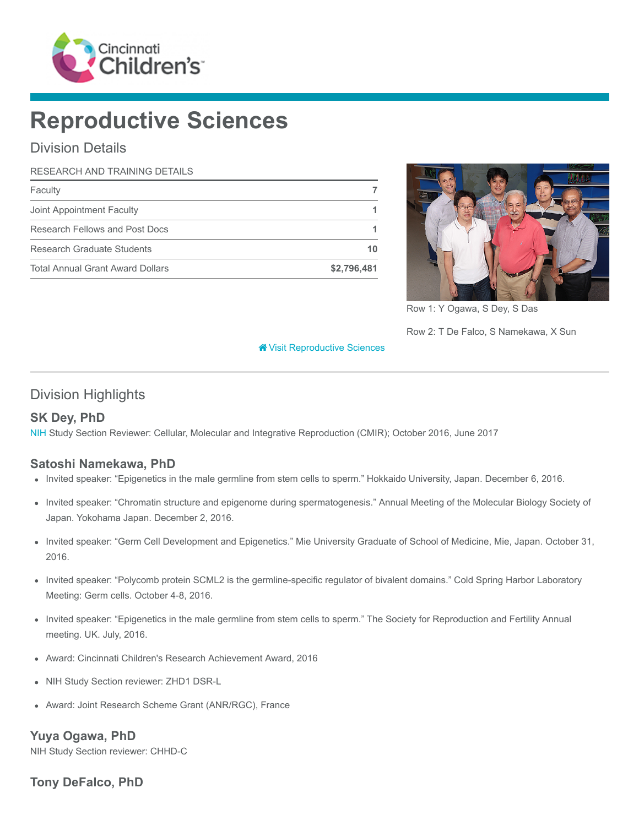

# Reproductive Sciences

# Division Details

#### RESEARCH AND TRAINING DETAILS

| Faculty                                 |             |
|-----------------------------------------|-------------|
| Joint Appointment Faculty               |             |
| Research Fellows and Post Docs          |             |
| Research Graduate Students              | 10          |
| <b>Total Annual Grant Award Dollars</b> | \$2,796,481 |



Row 1: Y Ogawa, S Dey, S Das

Row 2: T De Falco, S Namekawa, X Sun

#### [Visit Reproductive Sciences](https://www.cincinnatichildrens.org/research/divisions/r/reproductive-sciences)

### Division Highlights

#### SK Dey, PhD

[NIH](https://www.nih.gov/) Study Section Reviewer: Cellular, Molecular and Integrative Reproduction (CMIR); October 2016, June 2017

#### Satoshi Namekawa, PhD

- Invited speaker: "Epigenetics in the male germline from stem cells to sperm." Hokkaido University, Japan. December 6, 2016.
- Invited speaker: "Chromatin structure and epigenome during spermatogenesis." Annual Meeting of the Molecular Biology Society of Japan. Yokohama Japan. December 2, 2016.
- Invited speaker: "Germ Cell Development and Epigenetics." Mie University Graduate of School of Medicine, Mie, Japan. October 31, 2016.
- Invited speaker: "Polycomb protein SCML2 is the germline-specific regulator of bivalent domains." Cold Spring Harbor Laboratory Meeting: Germ cells. October 4-8, 2016.
- Invited speaker: "Epigenetics in the male germline from stem cells to sperm." The Society for Reproduction and Fertility Annual meeting. UK. July, 2016.
- Award: Cincinnati Children's Research Achievement Award, 2016
- NIH Study Section reviewer: ZHD1 DSR-L
- Award: Joint Research Scheme Grant (ANR/RGC), France  $\bullet$

#### Yuya Ogawa, PhD

NIH Study Section reviewer: CHHD-C

#### Tony DeFalco, PhD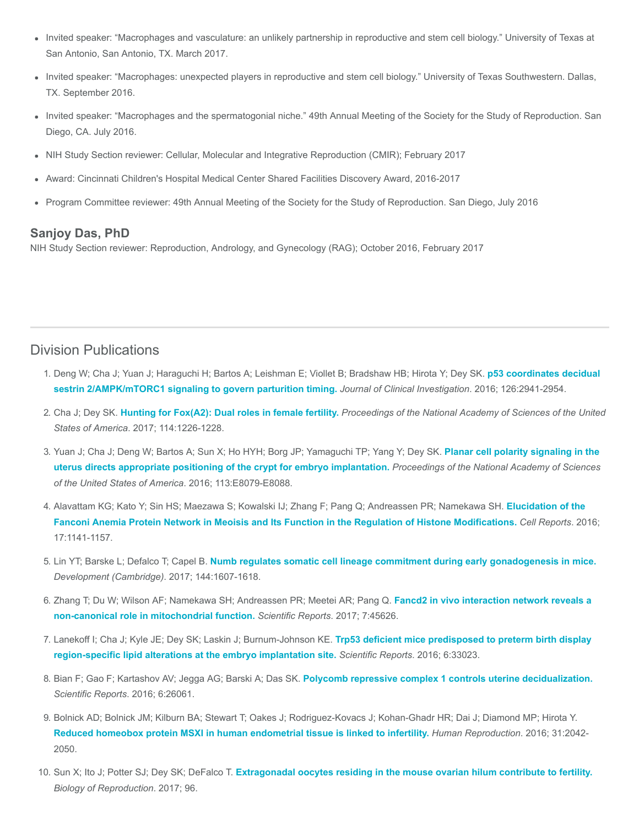- Invited speaker: "Macrophages and vasculature: an unlikely partnership in reproductive and stem cell biology." University of Texas at San Antonio, San Antonio, TX. March 2017.
- Invited speaker: "Macrophages: unexpected players in reproductive and stem cell biology." University of Texas Southwestern. Dallas, TX. September 2016.
- Invited speaker: "Macrophages and the spermatogonial niche." 49th Annual Meeting of the Society for the Study of Reproduction. San Diego, CA. July 2016.
- NIH Study Section reviewer: Cellular, Molecular and Integrative Reproduction (CMIR); February 2017
- Award: Cincinnati Children's Hospital Medical Center Shared Facilities Discovery Award, 2016-2017
- Program Committee reviewer: 49th Annual Meeting of the Society for the Study of Reproduction. San Diego, July 2016

#### Sanjoy Das, PhD

NIH Study Section reviewer: Reproduction, Andrology, and Gynecology (RAG); October 2016, February 2017

#### Division Publications

- 1. [Deng W; Cha J; Yuan J; Haraguchi H; Bartos A; Leishman E; Viollet B; Bradshaw HB; Hirota Y; Dey SK.](https://www.ncbi.nlm.nih.gov/pubmed/27454290) p53 coordinates decidual sestrin 2/AMPK/mTORC1 signaling to govern parturition timing. Journal of Clinical Investigation. 2016; 126:2941-2954.
- 2. Cha J; Dey SK. [Hunting for Fox\(A2\): Dual roles in female fertility.](https://www.ncbi.nlm.nih.gov/pubmed/28123060) Proceedings of the National Academy of Sciences of the United States of America. 2017; 114:1226-1228.
- 3. [Yuan J; Cha J; Deng W; Bartos A; Sun X; Ho HYH; Borg JP; Yamaguchi TP; Yang Y; Dey SK.](https://www.ncbi.nlm.nih.gov/pubmed/27911818) Planar cell polarity signaling in the uterus directs appropriate positioning of the crypt for embryo implantation. Proceedings of the National Academy of Sciences of the United States of America. 2016; 113:E8079-E8088.
- 4. [Alavattam KG; Kato Y; Sin HS; Maezawa S; Kowalski IJ; Zhang F; Pang Q; Andreassen PR; Namekawa SH.](https://www.ncbi.nlm.nih.gov/pubmed/27760317) Elucidation of the Fanconi Anemia Protein Network in Meoisis and Its Function in the Regulation of Histone Modifications. Cell Reports. 2016; 17:1141-1157.
- 5. Lin YT; Barske L; Defalco T; Capel B. [Numb regulates somatic cell lineage commitment during early gonadogenesis in mice.](https://www.ncbi.nlm.nih.gov/pubmed/28360133) Development (Cambridge). 2017; 144:1607-1618.
- 6. [Zhang T; Du W; Wilson AF; Namekawa SH; Andreassen PR; Meetei AR; Pang Q.](https://www.ncbi.nlm.nih.gov/pubmed/28378742) Fancd2 in vivo interaction network reveals a non-canonical role in mitochondrial function. Scientific Reports. 2017; 7:45626.
- 7. [Lanekoff I; Cha J; Kyle JE; Dey SK; Laskin J; Burnum-Johnson KE.](https://www.ncbi.nlm.nih.gov/pubmed/27620843) Trp53 deficient mice predisposed to preterm birth display region-specific lipid alterations at the embryo implantation site. Scientific Reports. 2016; 6:33023.
- 8. Bian F; Gao F; Kartashov AV; Jegga AG; Barski A; Das SK. [Polycomb repressive complex 1 controls uterine decidualization.](https://www.ncbi.nlm.nih.gov/pubmed/27181215) Scientific Reports. 2016; 6:26061.
- 9. Bolnick AD; Bolnick JM; Kilburn BA; Stewart T; Oakes J; Rodriguez-Kovacs J; Kohan-Ghadr HR; Dai J; Diamond MP; Hirota Y. [Reduced homeobox protein MSXI in human endometrial tissue is linked to infertility.](https://www.ncbi.nlm.nih.gov/pubmed/27312535) Human Reproduction. 2016; 31:2042-2050.
- 10. Sun X; Ito J; Potter SJ; Dey SK; DeFalco T. [Extragonadal oocytes residing in the mouse ovarian hilum contribute to fertility.](https://www.ncbi.nlm.nih.gov/pubmed/28339687) Biology of Reproduction. 2017; 96.